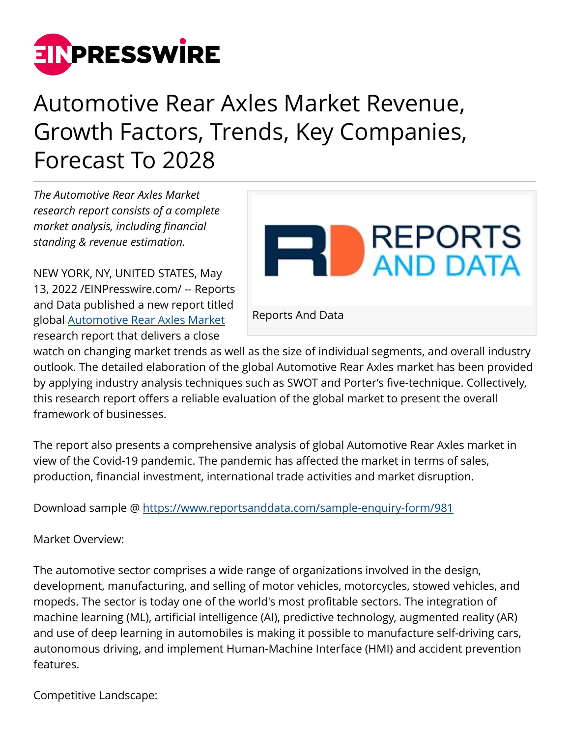

## Automotive Rear Axles Market Revenue, Growth Factors, Trends, Key Companies, Forecast To 2028

*The Automotive Rear Axles Market research report consists of a complete market analysis, including financial standing & revenue estimation.*

NEW YORK, NY, UNITED STATES, May 13, 2022 /[EINPresswire.com/](http://www.einpresswire.com) -- Reports and Data published a new report titled global [Automotive Rear Axles Market](https://www.reportsanddata.com/report-detail/automotive-rear-axles-market) research report that delivers a close



watch on changing market trends as well as the size of individual segments, and overall industry outlook. The detailed elaboration of the global Automotive Rear Axles market has been provided by applying industry analysis techniques such as SWOT and Porter's five-technique. Collectively, this research report offers a reliable evaluation of the global market to present the overall framework of businesses.

The report also presents a comprehensive analysis of global Automotive Rear Axles market in view of the Covid-19 pandemic. The pandemic has affected the market in terms of sales, production, financial investment, international trade activities and market disruption.

Download sample @<https://www.reportsanddata.com/sample-enquiry-form/981>

Market Overview:

The automotive sector comprises a wide range of organizations involved in the design, development, manufacturing, and selling of motor vehicles, motorcycles, stowed vehicles, and mopeds. The sector is today one of the world's most profitable sectors. The integration of machine learning (ML), artificial intelligence (AI), predictive technology, augmented reality (AR) and use of deep learning in automobiles is making it possible to manufacture self-driving cars, autonomous driving, and implement Human-Machine Interface (HMI) and accident prevention features.

Competitive Landscape: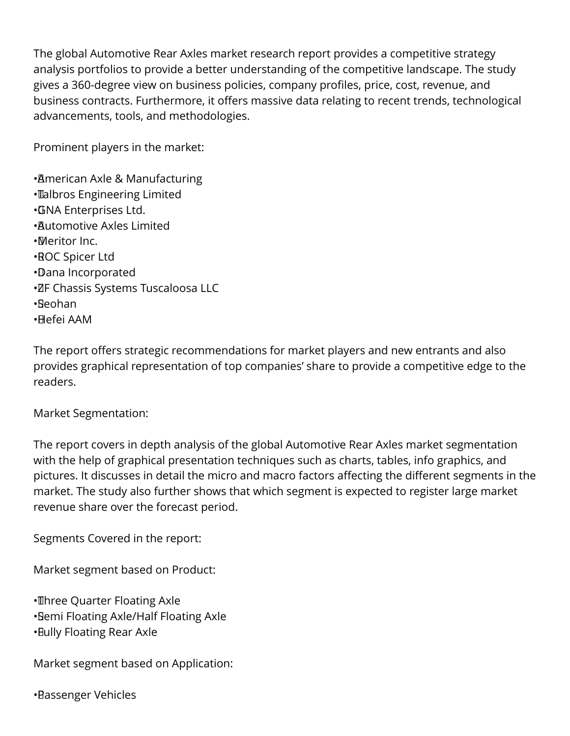The global Automotive Rear Axles market research report provides a competitive strategy analysis portfolios to provide a better understanding of the competitive landscape. The study gives a 360-degree view on business policies, company profiles, price, cost, revenue, and business contracts. Furthermore, it offers massive data relating to recent trends, technological advancements, tools, and methodologies.

Prominent players in the market:

• American Axle & Manufacturing • Talbros Engineering Limited • GNA Enterprises Ltd. • Automotive Axles Limited • Meritor Inc. • ROC Spicer Ltd • Dana Incorporated • ZF Chassis Systems Tuscaloosa LLC • Seohan • Hefei AAM

The report offers strategic recommendations for market players and new entrants and also provides graphical representation of top companies' share to provide a competitive edge to the readers.

Market Segmentation:

The report covers in depth analysis of the global Automotive Rear Axles market segmentation with the help of graphical presentation techniques such as charts, tables, info graphics, and pictures. It discusses in detail the micro and macro factors affecting the different segments in the market. The study also further shows that which segment is expected to register large market revenue share over the forecast period.

Segments Covered in the report:

Market segment based on Product:

• Three Quarter Floating Axle • Semi Floating Axle/Half Floating Axle • Fully Floating Rear Axle

Market segment based on Application:

• Passenger Vehicles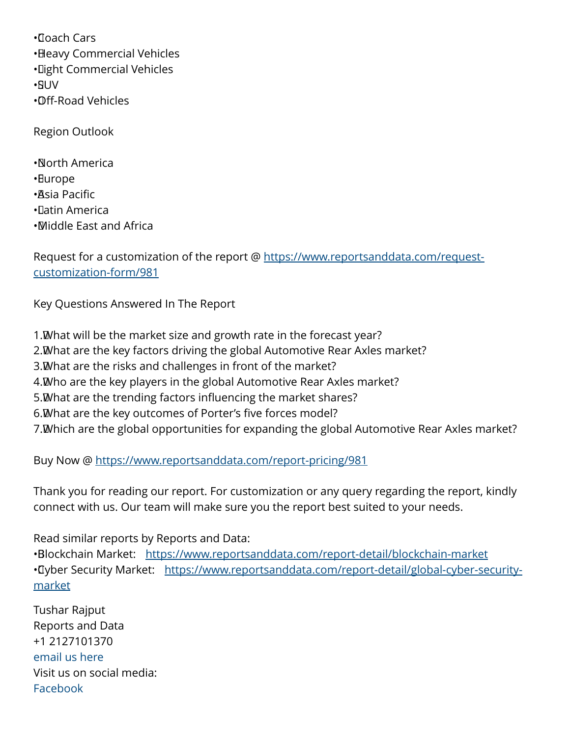• Coach Cars • Heavy Commercial Vehicles • Light Commercial Vehicles • SUV • Off-Road Vehicles

Region Outlook

• North America • Europe • Asia Pacific • Latin America • Middle East and Africa

Request for a customization of the report @ [https://www.reportsanddata.com/request](https://www.reportsanddata.com/request-customization-form/981)[customization-form/981](https://www.reportsanddata.com/request-customization-form/981)

Key Questions Answered In The Report

1. What will be the market size and growth rate in the forecast year? 2. What are the key factors driving the global Automotive Rear Axles market? 3. What are the risks and challenges in front of the market? 4. Who are the key players in the global Automotive Rear Axles market? 5. What are the trending factors influencing the market shares? 6. What are the key outcomes of Porter's five forces model? 7. Which are the global opportunities for expanding the global Automotive Rear Axles market?

Buy Now @ <https://www.reportsanddata.com/report-pricing/981>

Thank you for reading our report. For customization or any query regarding the report, kindly connect with us. Our team will make sure you the report best suited to your needs.

Read similar reports by Reports and Data:

•Blockchain Market: <https://www.reportsanddata.com/report-detail/blockchain-market> • Tyber Security Market: [https://www.reportsanddata.com/report-detail/global-cyber-security](https://www.reportsanddata.com/report-detail/global-cyber-security-market)[market](https://www.reportsanddata.com/report-detail/global-cyber-security-market)

Tushar Rajput Reports and Data +1 2127101370 [email us here](http://www.einpresswire.com/contact_author/3484345) Visit us on social media: [Facebook](https://www.facebook.com/reportsanddata)